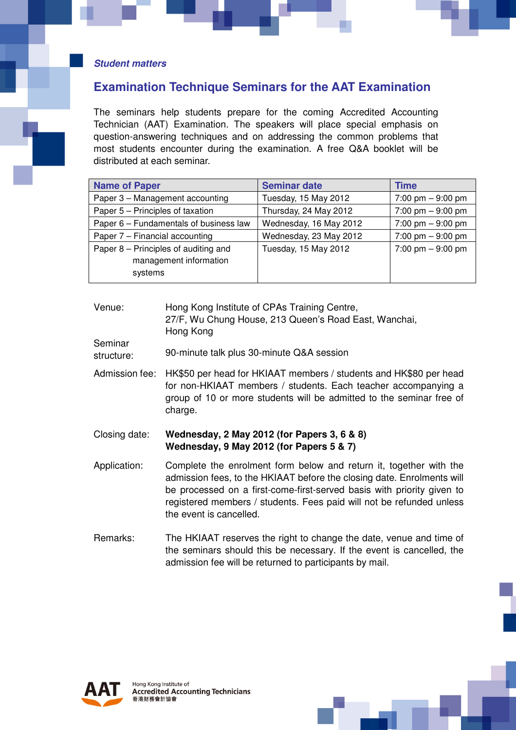#### **Student matters**

# **Examination Technique Seminars for the AAT Examination**

The seminars help students prepare for the coming Accredited Accounting Technician (AAT) Examination. The speakers will place special emphasis on question-answering techniques and on addressing the common problems that most students encounter during the examination. A free Q&A booklet will be distributed at each seminar.

| <b>Name of Paper</b>                                                      | <b>Seminar date</b>    | Time                                |
|---------------------------------------------------------------------------|------------------------|-------------------------------------|
| Paper 3 - Management accounting                                           | Tuesday, 15 May 2012   | 7:00 pm $-9:00$ pm                  |
| Paper 5 – Principles of taxation                                          | Thursday, 24 May 2012  | 7:00 pm $-9:00$ pm                  |
| Paper 6 – Fundamentals of business law                                    | Wednesday, 16 May 2012 | 7:00 pm $-9:00$ pm                  |
| Paper 7 - Financial accounting                                            | Wednesday, 23 May 2012 | $7:00 \text{ pm} - 9:00 \text{ pm}$ |
| Paper 8 – Principles of auditing and<br>management information<br>systems | Tuesday, 15 May 2012   | 7:00 pm $-9:00$ pm                  |

#### Venue: Hong Kong Institute of CPAs Training Centre, 27/F, Wu Chung House, 213 Queen's Road East, Wanchai, Hong Kong

Seminar structure: 90-minute talk plus 30-minute Q&A session

Admission fee: HK\$50 per head for HKIAAT members / students and HK\$80 per head for non-HKIAAT members / students. Each teacher accompanying a group of 10 or more students will be admitted to the seminar free of charge.

### Closing date: **Wednesday, 2 May 2012 (for Papers 3, 6 & 8) Wednesday, 9 May 2012 (for Papers 5 & 7)**

- Application: Complete the enrolment form below and return it, together with the admission fees, to the HKIAAT before the closing date. Enrolments will be processed on a first-come-first-served basis with priority given to registered members / students. Fees paid will not be refunded unless the event is cancelled.
- Remarks: The HKIAAT reserves the right to change the date, venue and time of the seminars should this be necessary. If the event is cancelled, the admission fee will be returned to participants by mail.